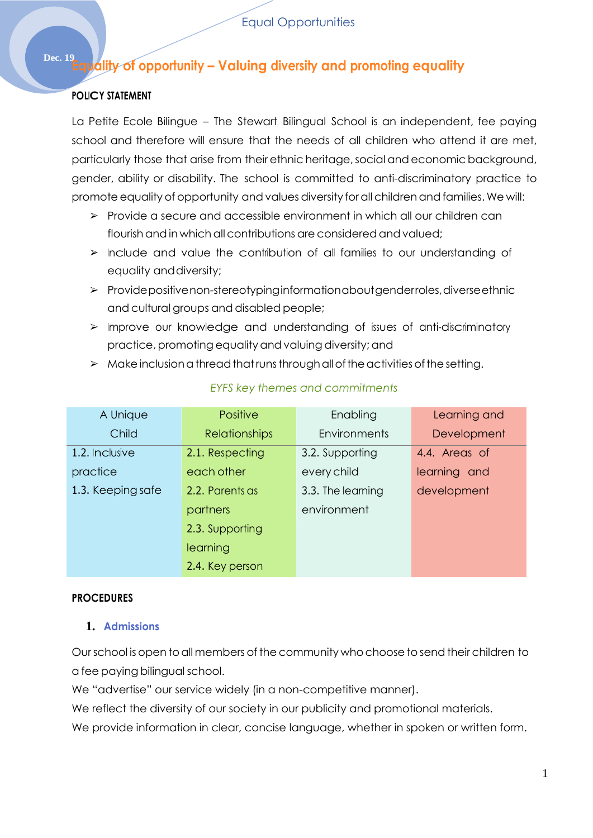# **Dec. 19Equality of opportunity – Valuing diversity and promoting equality**

### **POLICY STATEMENT**

La Petite Ecole Bilingue – The Stewart Bilingual School is an independent, fee paying school and therefore will ensure that the needs of all children who attend it are met, particularly those that arise from their ethnic heritage, social and economic background, gender, ability or disability. The school is committed to anti-discriminatory practice to promote equality of opportunity and values diversity for all children and families. We will:

- ➢ Provide a secure and accessible environment in which all our children can flourish and in which all contributions are considered and valued;
- ➢ Include and value the contribution of all families to our understanding of equality anddiversity;
- ➢ Providepositivenon-stereotypinginformationaboutgenderroles,diverseethnic and cultural groups and disabled people;
- ➢ Improve our knowledge and understanding of issues of anti-discriminatory practice, promoting equality and valuing diversity; and
- > Make inclusion a thread that runs through all of the activities of the setting.

| A Unique          | <b>Positive</b>      | Enabling            | Learning and  |
|-------------------|----------------------|---------------------|---------------|
| Child             | <b>Relationships</b> | <b>Environments</b> | Development   |
| 1.2. Inclusive    | 2.1. Respecting      | 3.2. Supporting     | 4.4. Areas of |
| practice          | each other           | every child         | learning and  |
| 1.3. Keeping safe | 2.2. Parents as      | 3.3. The learning   | development   |
|                   | partners             | environment         |               |
|                   | 2.3. Supporting      |                     |               |
|                   | learning             |                     |               |
|                   | 2.4. Key person      |                     |               |

#### *EYFS key themes and commitments*

#### **PROCEDURES**

#### **1. Admissions**

Our school is open to all members of the community who choose to send their children to a fee paying bilingual school.

We "advertise" our service widely (in a non-competitive manner).

We reflect the diversity of our society in our publicity and promotional materials.

We provide information in clear, concise language, whether in spoken or written form.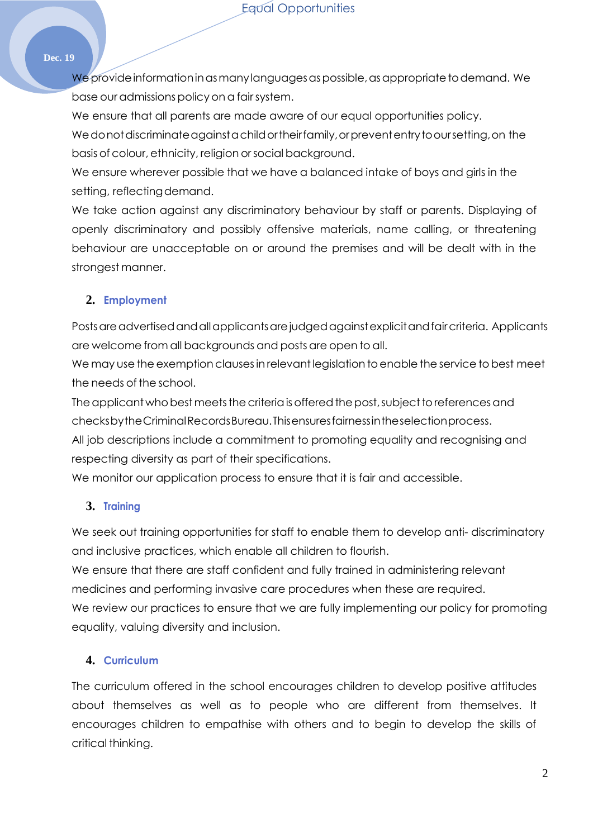#### **Dec. 19**

We provide information in as many languages as possible, as appropriate to demand. We base our admissions policy on a fairsystem.

We ensure that all parents are made aware of our equal opportunities policy.

We donot discriminate against a child or their family, or prevent entry to our setting, on the basis of colour, ethnicity, religion orsocial background.

We ensure wherever possible that we have a balanced intake of boys and girls in the setting, reflecting demand.

We take action against any discriminatory behaviour by staff or parents. Displaying of openly discriminatory and possibly offensive materials, name calling, or threatening behaviour are unacceptable on or around the premises and will be dealt with in the strongest manner.

## **2. Employment**

Posts are advertised and all applicants are judged against explicit and fair criteria. Applicants are welcome from all backgrounds and posts are open to all.

We may use the exemption clauses in relevant legislation to enable the service to best meet the needs of the school.

The applicant who best meets the criteria is offered the post, subject to references and checksbytheCriminalRecordsBureau.Thisensuresfairnessintheselectionprocess.

All job descriptions include a commitment to promoting equality and recognising and respecting diversity as part of their specifications.

We monitor our application process to ensure that it is fair and accessible.

# **3. Training**

We seek out training opportunities for staff to enable them to develop anti-discriminatory and inclusive practices, which enable all children to flourish.

We ensure that there are staff confident and fully trained in administering relevant medicines and performing invasive care procedures when these are required.

We review our practices to ensure that we are fully implementing our policy for promoting equality, valuing diversity and inclusion.

# **4. Curriculum**

The curriculum offered in the school encourages children to develop positive attitudes about themselves as well as to people who are different from themselves. It encourages children to empathise with others and to begin to develop the skills of critical thinking.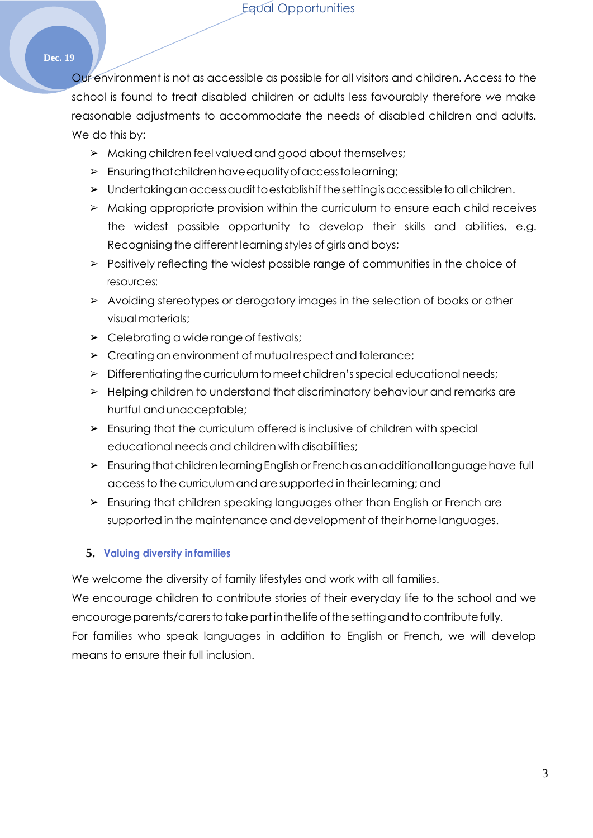#### **Dec. 19**

Our environment is not as accessible as possible for all visitors and children. Access to the school is found to treat disabled children or adults less favourably therefore we make reasonable adjustments to accommodate the needs of disabled children and adults. We do this by:

- ➢ Makingchildren feel valued and good about themselves;
- ➢ Ensuringthatchildrenhaveequalityofaccesstolearning;
- > Undertaking an access audit to establish if the setting is accessible to all children.
- ➢ Making appropriate provision within the curriculum to ensure each child receives the widest possible opportunity to develop their skills and abilities, e.g. Recognising the different learning styles of girls and boys;
- ➢ Positively reflecting the widest possible range of communities in the choice of resources;
- ➢ Avoiding stereotypes or derogatory images in the selection of books or other visual materials;
- $\triangleright$  Celebrating a wide range of festivals;
- ➢ Creating an environment of mutual respect and tolerance;
- $\triangleright$  Differentiating the curriculum to meet children's special educational needs;
- ➢ Helping children to understand that discriminatory behaviour and remarks are hurtful andunacceptable;
- $\triangleright$  Ensuring that the curriculum offered is inclusive of children with special educational needs and children with disabilities;
- $\triangleright$  Ensuring that children learning English or Frenchas an additional language have full access to the curriculum and are supported in their learning; and
- ➢ Ensuring that children speaking languages other than English or French are supported in the maintenance and development of their home languages.

#### **5. Valuing diversity infamilies**

We welcome the diversity of family lifestyles and work with all families.

We encourage children to contribute stories of their everyday life to the school and we encourage parents/carers to take part in the life of the setting and to contribute fully. For families who speak languages in addition to English or French, we will develop means to ensure their full inclusion.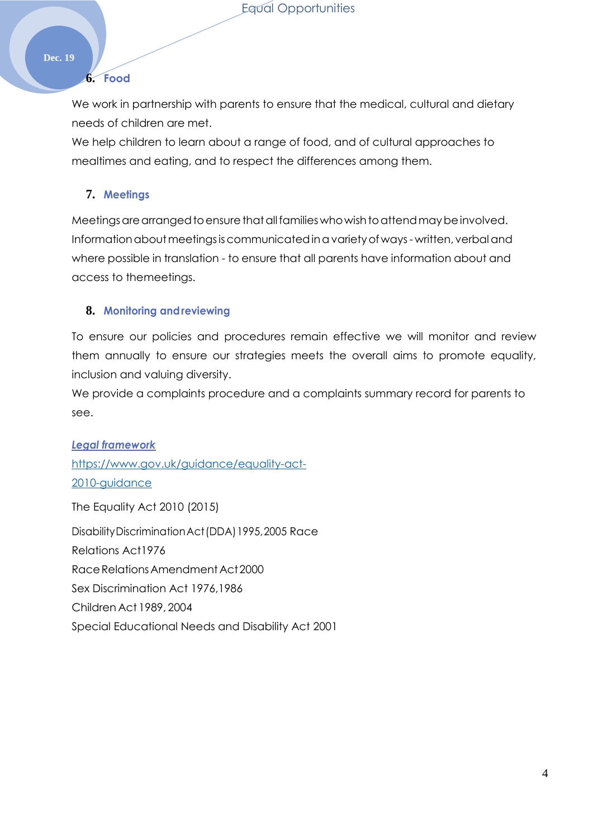#### **Dec. 19**

#### **6. Food**

We work in partnership with parents to ensure that the medical, cultural and dietary needs of children are met.

We help children to learn about a range of food, and of cultural approaches to mealtimes and eating, and to respect the differences among them.

## **7. Meetings**

Meetings are arranged to ensure that all families who wish to attend may be involved. Information about meetings is communicated in a variety of ways-written, verbal and where possible in translation - to ensure that all parents have information about and access to themeetings.

#### **8. Monitoring andreviewing**

To ensure our policies and procedures remain effective we will monitor and review them annually to ensure our strategies meets the overall aims to promote equality, inclusion and valuing diversity.

We provide a complaints procedure and a complaints summary record for parents to see.

*Legal framework* [https://www.gov.uk/guidance/equality-act-](https://www.gov.uk/guidance/equality-act-2010-guidance)[2010-guidance](https://www.gov.uk/guidance/equality-act-2010-guidance) The Equality Act 2010 (2015) DisabilityDiscriminationAct(DDA)1995,2005 Race Relations Act1976 Race Relations Amendment Act 2000 Sex Discrimination Act 1976,1986 Children Act 1989, 2004

Special Educational Needs and Disability Act 2001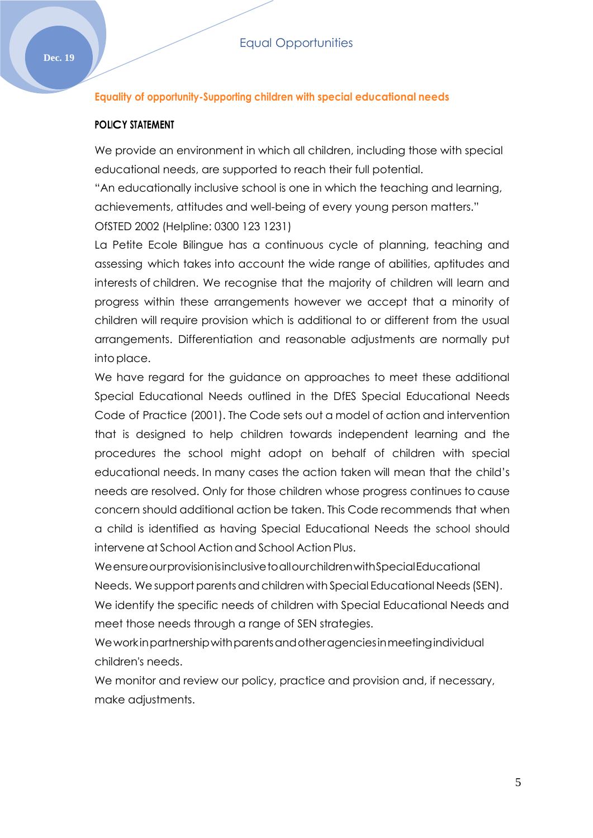#### **Equality of opportunity-Supporting children with special educational needs**

#### **POLICY STATEMENT**

We provide an environment in which all children, including those with special educational needs, are supported to reach their full potential.

"An educationally inclusive school is one in which the teaching and learning, achievements, attitudes and well-being of every young person matters." OfSTED 2002 (Helpline: 0300 123 1231)

La Petite Ecole Bilingue has a continuous cycle of planning, teaching and assessing which takes into account the wide range of abilities, aptitudes and interests of children. We recognise that the majority of children will learn and progress within these arrangements however we accept that a minority of children will require provision which is additional to or different from the usual arrangements. Differentiation and reasonable adjustments are normally put intoplace.

We have regard for the guidance on approaches to meet these additional Special Educational Needs outlined in the DfES Special Educational Needs Code of Practice (2001). The Code sets out a model of action and intervention that is designed to help children towards independent learning and the procedures the school might adopt on behalf of children with special educational needs. In many cases the action taken will mean that the child's needs are resolved. Only for those children whose progress continues to cause concern should additional action be taken. This Code recommends that when a child is identified as having Special Educational Needs the school should intervene at School Action and School Action Plus.

WeensureourprovisionisinclusivetoallourchildrenwithSpecialEducational Needs. We support parents and children with Special Educational Needs (SEN). We identify the specific needs of children with Special Educational Needs and meet those needs through a range of SEN strategies.

Weworkinpartnershipwithparentsandotheragenciesinmeetingindividual children's needs.

We monitor and review our policy, practice and provision and, if necessary, make adjustments.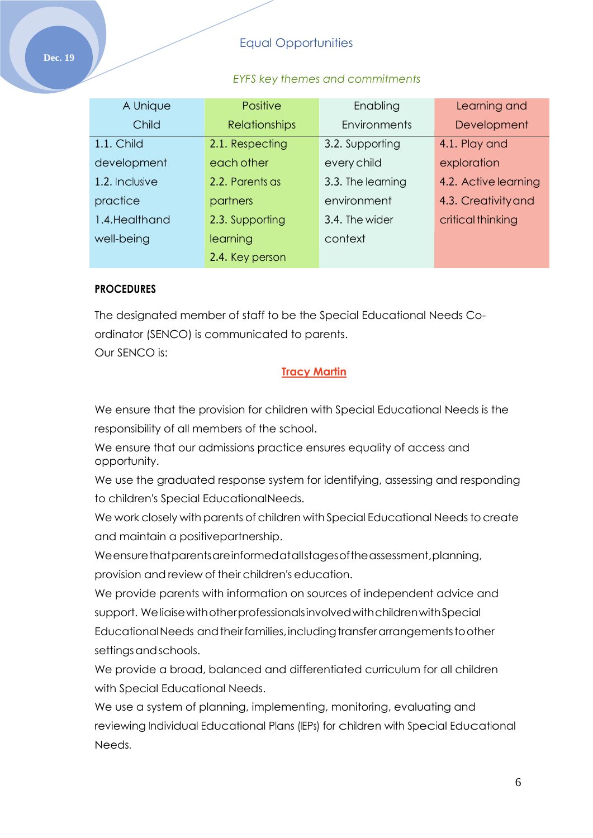## Equal Opportunities

#### *EYFS key themes and commitments*

| A Unique       | <b>Positive</b>      | Enabling          | Learning and         |
|----------------|----------------------|-------------------|----------------------|
| Child          | <b>Relationships</b> | Environments      | Development          |
| 1.1. Child     | 2.1. Respecting      | 3.2. Supporting   | 4.1. Play and        |
| development    | each other           | every child       | exploration          |
| 1.2. Inclusive | 2.2. Parents as      | 3.3. The learning | 4.2. Active learning |
| practice       | partners             | environment       | 4.3. Creativity and  |
| 1.4. Healthand | 2.3. Supporting      | 3.4. The wider    | critical thinking    |
| well-being     | learning             | context           |                      |
|                | 2.4. Key person      |                   |                      |

#### **PROCEDURES**

The designated member of staff to be the Special Educational Needs Coordinator (SENCO) is communicated to parents.

Our SENCO is:

#### **Tracy Martin**

We ensure that the provision for children with Special Educational Needs is the responsibility of all members of the school.

We ensure that our admissions practice ensures equality of access and opportunity.

We use the graduated response system for identifying, assessing and responding to children's Special EducationalNeeds.

We work closely with parents of children with Special Educational Needs to create and maintain a positivepartnership.

Weensurethatparentsareinformedatallstages of the assessment, planning, provision and review of their children's education.

We provide parents with information on sources of independent advice and support. WeliaisewithotherprofessionalsinvolvedwithchildrenwithSpecial Educational Needs and their families, including transfer arrangements to other settings and schools.

We provide a broad, balanced and differentiated curriculum for all children with Special Educational Needs.

We use a system of planning, implementing, monitoring, evaluating and reviewing Individual Educational Plans (IEPs) for children with Special Educational Needs.